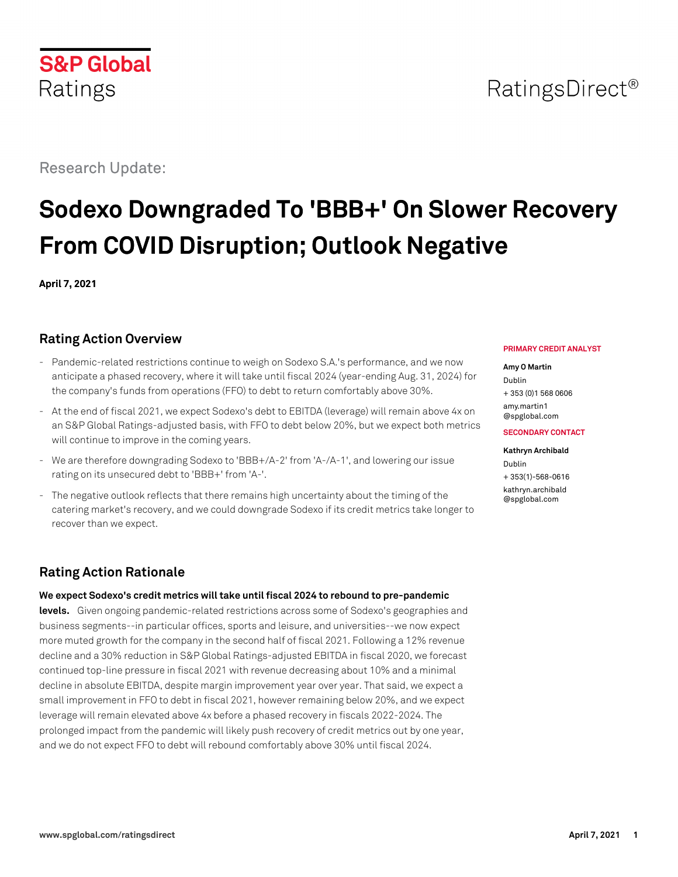# RatingsDirect<sup>®</sup>

# Research Update:

# **Sodexo Downgraded To 'BBB+' On Slower Recovery From COVID Disruption; Outlook Negative**

**April 7, 2021**

## **Rating Action Overview**

- Pandemic-related restrictions continue to weigh on Sodexo S.A.'s performance, and we now anticipate a phased recovery, where it will take until fiscal 2024 (year-ending Aug. 31, 2024) for the company's funds from operations (FFO) to debt to return comfortably above 30%.
- At the end of fiscal 2021, we expect Sodexo's debt to EBITDA (leverage) will remain above 4x on an S&P Global Ratings-adjusted basis, with FFO to debt below 20%, but we expect both metrics will continue to improve in the coming years.
- We are therefore downgrading Sodexo to 'BBB+/A-2' from 'A-/A-1', and lowering our issue rating on its unsecured debt to 'BBB+' from 'A-'.
- The negative outlook reflects that there remains high uncertainty about the timing of the catering market's recovery, and we could downgrade Sodexo if its credit metrics take longer to recover than we expect.

# **Rating Action Rationale**

**We expect Sodexo's credit metrics will take until fiscal 2024 to rebound to pre-pandemic**

**levels.** Given ongoing pandemic-related restrictions across some of Sodexo's geographies and business segments--in particular offices, sports and leisure, and universities--we now expect more muted growth for the company in the second half of fiscal 2021. Following a 12% revenue decline and a 30% reduction in S&P Global Ratings-adjusted EBITDA in fiscal 2020, we forecast continued top-line pressure in fiscal 2021 with revenue decreasing about 10% and a minimal decline in absolute EBITDA, despite margin improvement year over year. That said, we expect a small improvement in FFO to debt in fiscal 2021, however remaining below 20%, and we expect leverage will remain elevated above 4x before a phased recovery in fiscals 2022-2024. The prolonged impact from the pandemic will likely push recovery of credit metrics out by one year, and we do not expect FFO to debt will rebound comfortably above 30% until fiscal 2024.

#### **PRIMARY CREDIT ANALYST**

#### **Amy O Martin**

Dublin + 353 (0)1 568 0606

[amy.martin1](mailto:amy.martin1@spglobal.com) [@spglobal.com](mailto:amy.martin1@spglobal.com)

#### **SECONDARY CONTACT**

#### **Kathryn Archibald**

Dublin + 353(1)-568-0616 [kathryn.archibald](mailto:kathryn.archibald@spglobal.com) [@spglobal.com](mailto:kathryn.archibald@spglobal.com)

**S&P Global** Ratings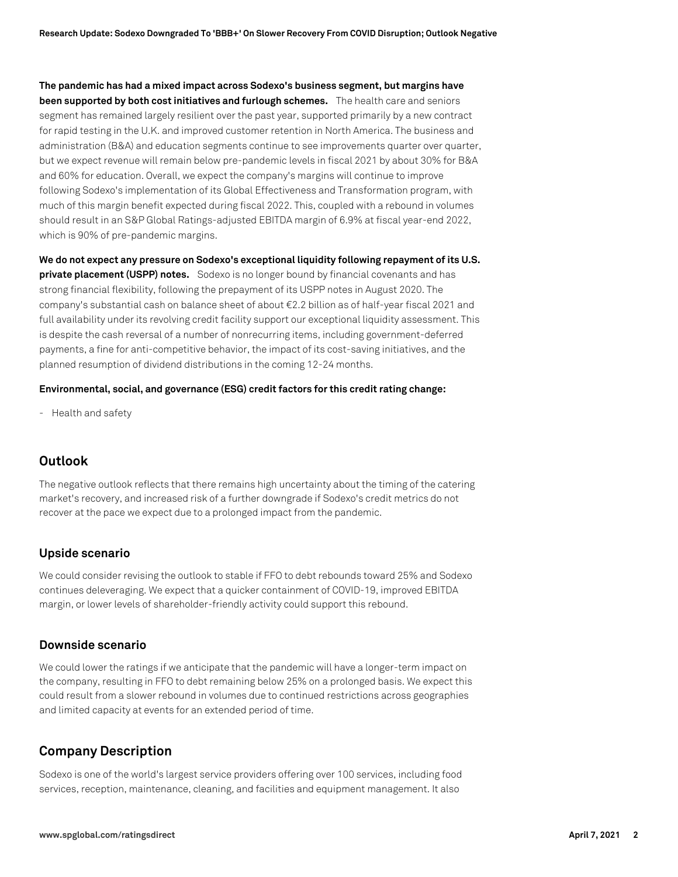**The pandemic has had a mixed impact across Sodexo's business segment, but margins have been supported by both cost initiatives and furlough schemes.** The health care and seniors segment has remained largely resilient over the past year, supported primarily by a new contract for rapid testing in the U.K. and improved customer retention in North America. The business and administration (B&A) and education segments continue to see improvements quarter over quarter, but we expect revenue will remain below pre-pandemic levels in fiscal 2021 by about 30% for B&A and 60% for education. Overall, we expect the company's margins will continue to improve following Sodexo's implementation of its Global Effectiveness and Transformation program, with much of this margin benefit expected during fiscal 2022. This, coupled with a rebound in volumes should result in an S&P Global Ratings-adjusted EBITDA margin of 6.9% at fiscal year-end 2022, which is 90% of pre-pandemic margins.

**We do not expect any pressure on Sodexo's exceptional liquidity following repayment of its U.S. private placement (USPP) notes.** Sodexo is no longer bound by financial covenants and has strong financial flexibility, following the prepayment of its USPP notes in August 2020. The company's substantial cash on balance sheet of about €2.2 billion as of half-year fiscal 2021 and full availability under its revolving credit facility support our exceptional liquidity assessment. This is despite the cash reversal of a number of nonrecurring items, including government-deferred payments, a fine for anti-competitive behavior, the impact of its cost-saving initiatives, and the planned resumption of dividend distributions in the coming 12-24 months.

#### **Environmental, social, and governance (ESG) credit factors for this credit rating change:**

- Health and safety

### **Outlook**

The negative outlook reflects that there remains high uncertainty about the timing of the catering market's recovery, and increased risk of a further downgrade if Sodexo's credit metrics do not recover at the pace we expect due to a prolonged impact from the pandemic.

#### **Upside scenario**

We could consider revising the outlook to stable if FFO to debt rebounds toward 25% and Sodexo continues deleveraging. We expect that a quicker containment of COVID-19, improved EBITDA margin, or lower levels of shareholder-friendly activity could support this rebound.

#### **Downside scenario**

We could lower the ratings if we anticipate that the pandemic will have a longer-term impact on the company, resulting in FFO to debt remaining below 25% on a prolonged basis. We expect this could result from a slower rebound in volumes due to continued restrictions across geographies and limited capacity at events for an extended period of time.

### **Company Description**

Sodexo is one of the world's largest service providers offering over 100 services, including food services, reception, maintenance, cleaning, and facilities and equipment management. It also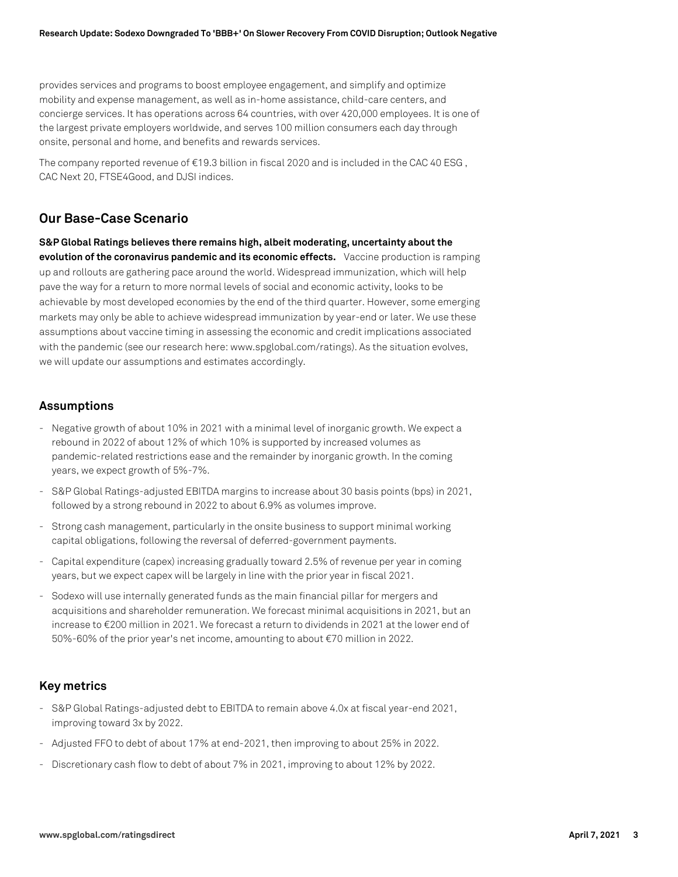provides services and programs to boost employee engagement, and simplify and optimize mobility and expense management, as well as in-home assistance, child-care centers, and concierge services. It has operations across 64 countries, with over 420,000 employees. It is one of the largest private employers worldwide, and serves 100 million consumers each day through onsite, personal and home, and benefits and rewards services.

The company reported revenue of  $\epsilon$ 19.3 billion in fiscal 2020 and is included in the CAC 40 ESG, CAC Next 20, FTSE4Good, and DJSI indices.

## **Our Base-Case Scenario**

**S&P Global Ratings believes there remains high, albeit moderating, uncertainty about the evolution of the coronavirus pandemic and its economic effects.** Vaccine production is ramping up and rollouts are gathering pace around the world. Widespread immunization, which will help pave the way for a return to more normal levels of social and economic activity, looks to be achievable by most developed economies by the end of the third quarter. However, some emerging markets may only be able to achieve widespread immunization by year-end or later. We use these assumptions about vaccine timing in assessing the economic and credit implications associated with the pandemic (see our research here: www.spglobal.com/ratings). As the situation evolves, we will update our assumptions and estimates accordingly.

#### **Assumptions**

- Negative growth of about 10% in 2021 with a minimal level of inorganic growth. We expect a rebound in 2022 of about 12% of which 10% is supported by increased volumes as pandemic-related restrictions ease and the remainder by inorganic growth. In the coming years, we expect growth of 5%-7%.
- S&P Global Ratings-adjusted EBITDA margins to increase about 30 basis points (bps) in 2021, followed by a strong rebound in 2022 to about 6.9% as volumes improve.
- Strong cash management, particularly in the onsite business to support minimal working capital obligations, following the reversal of deferred-government payments.
- Capital expenditure (capex) increasing gradually toward 2.5% of revenue per year in coming years, but we expect capex will be largely in line with the prior year in fiscal 2021.
- Sodexo will use internally generated funds as the main financial pillar for mergers and acquisitions and shareholder remuneration. We forecast minimal acquisitions in 2021, but an increase to €200 million in 2021. We forecast a return to dividends in 2021 at the lower end of 50%-60% of the prior year's net income, amounting to about €70 million in 2022.

#### **Key metrics**

- S&P Global Ratings-adjusted debt to EBITDA to remain above 4.0x at fiscal year-end 2021, improving toward 3x by 2022.
- Adjusted FFO to debt of about 17% at end-2021, then improving to about 25% in 2022.
- Discretionary cash flow to debt of about 7% in 2021, improving to about 12% by 2022.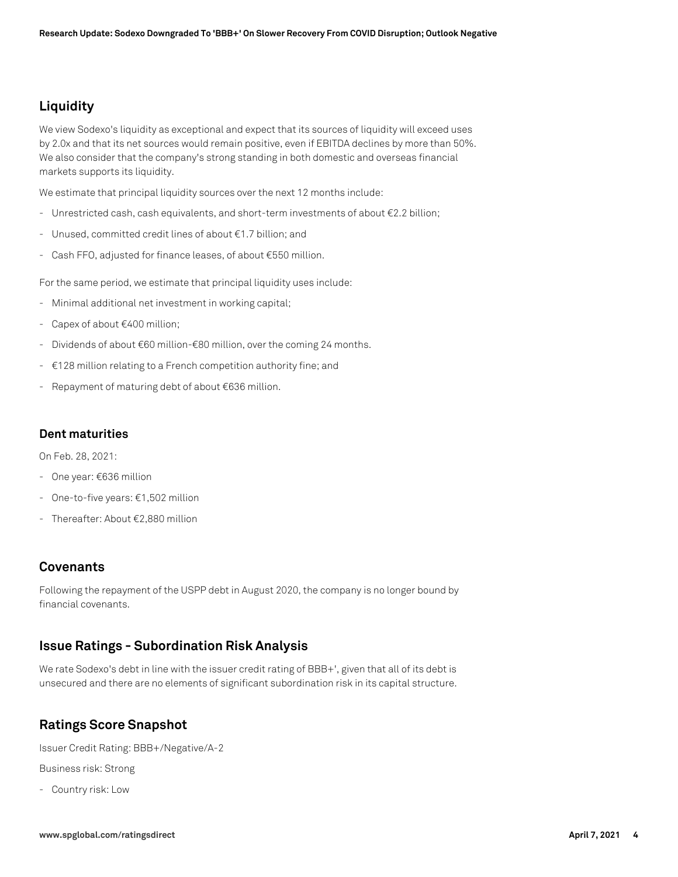# **Liquidity**

We view Sodexo's liquidity as exceptional and expect that its sources of liquidity will exceed uses by 2.0x and that its net sources would remain positive, even if EBITDA declines by more than 50%. We also consider that the company's strong standing in both domestic and overseas financial markets supports its liquidity.

We estimate that principal liquidity sources over the next 12 months include:

- Unrestricted cash, cash equivalents, and short-term investments of about €2.2 billion;
- Unused, committed credit lines of about €1.7 billion; and
- Cash FFO, adjusted for finance leases, of about €550 million.

For the same period, we estimate that principal liquidity uses include:

- Minimal additional net investment in working capital;
- Capex of about €400 million;
- Dividends of about €60 million-€80 million, over the coming 24 months.
- €128 million relating to a French competition authority fine; and
- Repayment of maturing debt of about €636 million.

#### **Dent maturities**

On Feb. 28, 2021:

- One year: €636 million
- One-to-five years: €1,502 million
- Thereafter: About €2,880 million

## **Covenants**

Following the repayment of the USPP debt in August 2020, the company is no longer bound by financial covenants.

### **Issue Ratings - Subordination Risk Analysis**

We rate Sodexo's debt in line with the issuer credit rating of BBB+', given that all of its debt is unsecured and there are no elements of significant subordination risk in its capital structure.

## **Ratings Score Snapshot**

Issuer Credit Rating: BBB+/Negative/A-2

Business risk: Strong

- Country risk: Low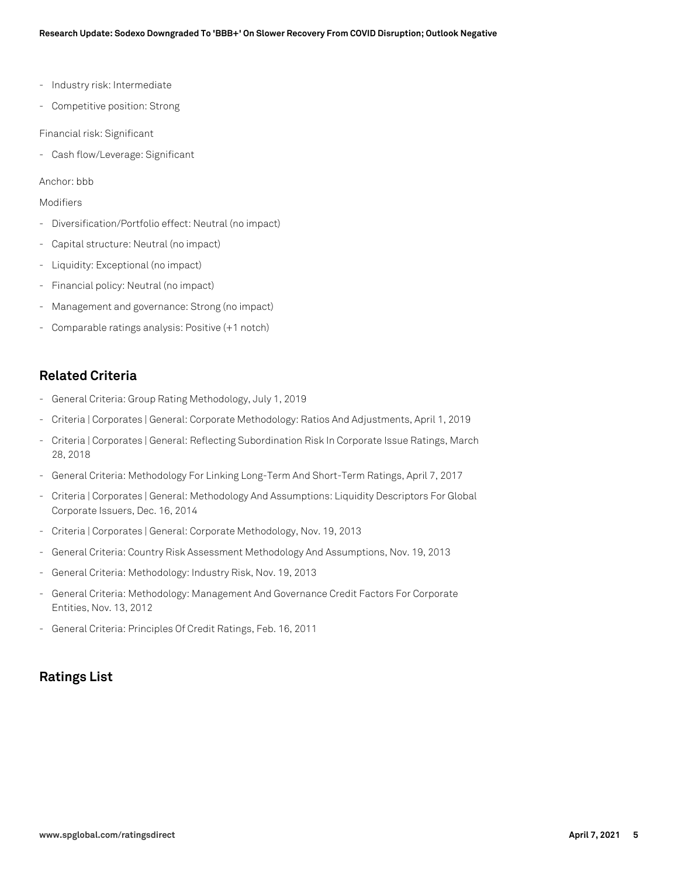- Industry risk: Intermediate
- Competitive position: Strong

#### Financial risk: Significant

- Cash flow/Leverage: Significant

Anchor: bbb

#### Modifiers

- Diversification/Portfolio effect: Neutral (no impact)
- Capital structure: Neutral (no impact)
- Liquidity: Exceptional (no impact)
- Financial policy: Neutral (no impact)
- Management and governance: Strong (no impact)
- Comparable ratings analysis: Positive (+1 notch)

## **Related Criteria**

- General Criteria: Group Rating Methodology, July 1, 2019
- Criteria | Corporates | General: Corporate Methodology: Ratios And Adjustments, April 1, 2019
- Criteria | Corporates | General: Reflecting Subordination Risk In Corporate Issue Ratings, March 28, 2018
- General Criteria: Methodology For Linking Long-Term And Short-Term Ratings, April 7, 2017
- Criteria | Corporates | General: Methodology And Assumptions: Liquidity Descriptors For Global Corporate Issuers, Dec. 16, 2014
- Criteria | Corporates | General: Corporate Methodology, Nov. 19, 2013
- General Criteria: Country Risk Assessment Methodology And Assumptions, Nov. 19, 2013
- General Criteria: Methodology: Industry Risk, Nov. 19, 2013
- General Criteria: Methodology: Management And Governance Credit Factors For Corporate Entities, Nov. 13, 2012
- General Criteria: Principles Of Credit Ratings, Feb. 16, 2011

## **Ratings List**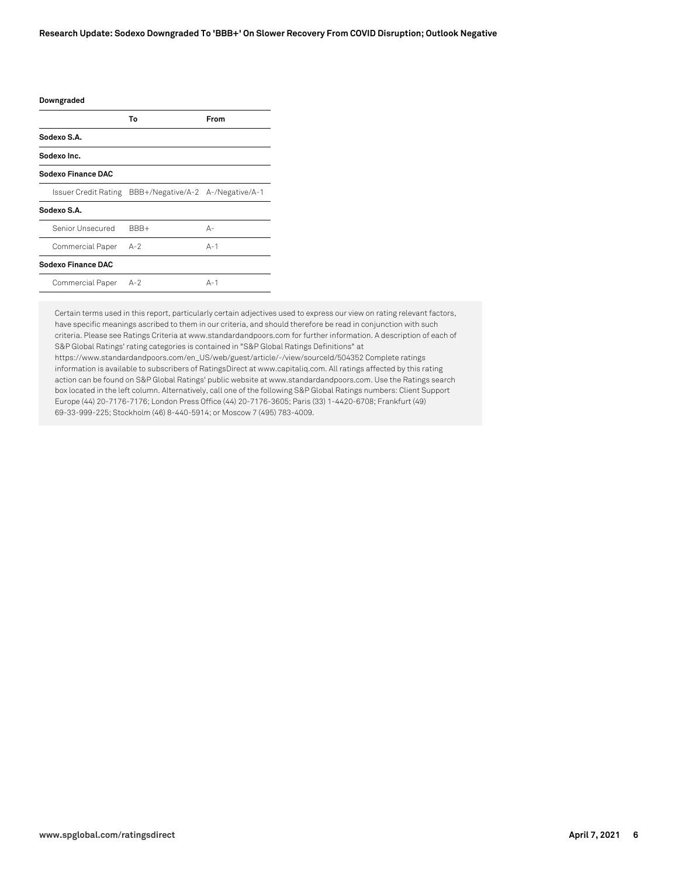| Downgraded           |                                   |         |
|----------------------|-----------------------------------|---------|
|                      | Т٥                                | From    |
| Sodexo S.A.          |                                   |         |
| Sodexo Inc.          |                                   |         |
| Sodexo Finance DAC   |                                   |         |
| Issuer Credit Rating | BBB+/Negative/A-2 A-/Negative/A-1 |         |
| Sodexo S.A.          |                                   |         |
| Senior Unsecured     | BBB+                              | А-      |
| Commercial Paper     | $A-2$                             | $A-1$   |
| Sodexo Finance DAC   |                                   |         |
| Commercial Paper     | $A-2$                             | $A - 1$ |

Certain terms used in this report, particularly certain adjectives used to express our view on rating relevant factors, have specific meanings ascribed to them in our criteria, and should therefore be read in conjunction with such criteria. Please see Ratings Criteria at www.standardandpoors.com for further information. A description of each of S&P Global Ratings' rating categories is contained in "S&P Global Ratings Definitions" at https://www.standardandpoors.com/en\_US/web/guest/article/-/view/sourceId/504352 Complete ratings information is available to subscribers of RatingsDirect at www.capitaliq.com. All ratings affected by this rating action can be found on S&P Global Ratings' public website at www.standardandpoors.com. Use the Ratings search box located in the left column. Alternatively, call one of the following S&P Global Ratings numbers: Client Support Europe (44) 20-7176-7176; London Press Office (44) 20-7176-3605; Paris (33) 1-4420-6708; Frankfurt (49) 69-33-999-225; Stockholm (46) 8-440-5914; or Moscow 7 (495) 783-4009.